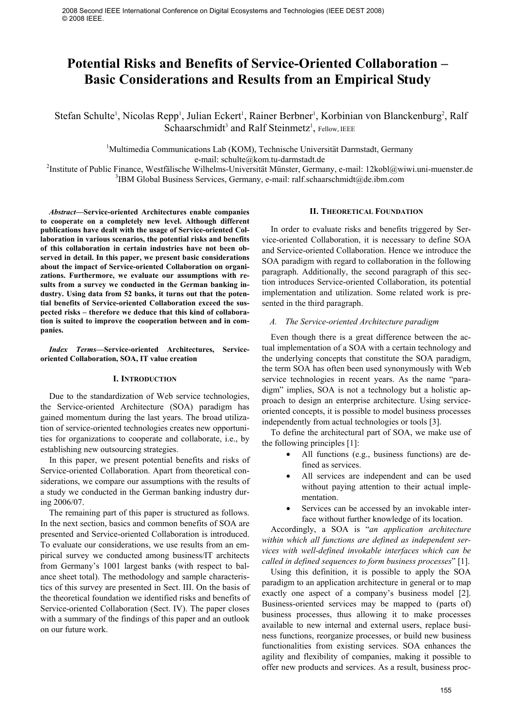# **Potential Risks and Benefits of Service-Oriented Collaboration – Basic Considerations and Results from an Empirical Study**

Stefan Schulte<sup>1</sup>, Nicolas Repp<sup>1</sup>, Julian Eckert<sup>1</sup>, Rainer Berbner<sup>1</sup>, Korbinian von Blanckenburg<sup>2</sup>, Ralf Schaarschmidt<sup>3</sup> and Ralf Steinmetz<sup>1</sup>, Fellow, IEEE

<sup>1</sup>Multimedia Communications Lab (KOM), Technische Universität Darmstadt, Germany

e-mail: schulte@kom.tu-darmstadt.de<br><sup>2</sup>Institute of Public Finance, Westfälische Wilhelms Universität Münster, German Institute of Public Finance, Westfälische Wilhelms-Universität Münster, Germany, e-mail: 12kobl@wiwi.uni-muenster.de 3 <sup>3</sup>IBM Global Business Services, Germany, e-mail: ralf.schaarschmidt@de.ibm.com

*Abstract***—Service-oriented Architectures enable companies to cooperate on a completely new level. Although different publications have dealt with the usage of Service-oriented Collaboration in various scenarios, the potential risks and benefits of this collaboration in certain industries have not been observed in detail. In this paper, we present basic considerations about the impact of Service-oriented Collaboration on organizations. Furthermore, we evaluate our assumptions with results from a survey we conducted in the German banking industry. Using data from 52 banks, it turns out that the potential benefits of Service-oriented Collaboration exceed the suspected risks – therefore we deduce that this kind of collaboration is suited to improve the cooperation between and in companies.** 

*Index Terms***—Service-oriented Architectures, Serviceoriented Collaboration, SOA, IT value creation** 

#### **I. INTRODUCTION**

Due to the standardization of Web service technologies, the Service-oriented Architecture (SOA) paradigm has gained momentum during the last years. The broad utilization of service-oriented technologies creates new opportunities for organizations to cooperate and collaborate, i.e., by establishing new outsourcing strategies.

In this paper, we present potential benefits and risks of Service-oriented Collaboration. Apart from theoretical considerations, we compare our assumptions with the results of a study we conducted in the German banking industry during 2006/07.

The remaining part of this paper is structured as follows. In the next section, basics and common benefits of SOA are presented and Service-oriented Collaboration is introduced. To evaluate our considerations, we use results from an empirical survey we conducted among business/IT architects from Germany's 1001 largest banks (with respect to balance sheet total). The methodology and sample characteristics of this survey are presented in Sect. III. On the basis of the theoretical foundation we identified risks and benefits of Service-oriented Collaboration (Sect. IV). The paper closes with a summary of the findings of this paper and an outlook on our future work.

#### **II. THEORETICAL FOUNDATION**

In order to evaluate risks and benefits triggered by Service-oriented Collaboration, it is necessary to define SOA and Service-oriented Collaboration. Hence we introduce the SOA paradigm with regard to collaboration in the following paragraph. Additionally, the second paragraph of this section introduces Service-oriented Collaboration, its potential implementation and utilization. Some related work is presented in the third paragraph.

#### *A. The Service-oriented Architecture paradigm*

Even though there is a great difference between the actual implementation of a SOA with a certain technology and the underlying concepts that constitute the SOA paradigm, the term SOA has often been used synonymously with Web service technologies in recent years. As the name "paradigm" implies, SOA is not a technology but a holistic approach to design an enterprise architecture. Using serviceoriented concepts, it is possible to model business processes independently from actual technologies or tools [3].

To define the architectural part of SOA, we make use of the following principles [1]:

- All functions (e.g., business functions) are defined as services.
- All services are independent and can be used without paying attention to their actual implementation.
- Services can be accessed by an invokable interface without further knowledge of its location.

Accordingly, a SOA is "*an application architecture within which all functions are defined as independent services with well-defined invokable interfaces which can be called in defined sequences to form business processes*" [1].

Using this definition, it is possible to apply the SOA paradigm to an application architecture in general or to map exactly one aspect of a company's business model [2]. Business-oriented services may be mapped to (parts of) business processes, thus allowing it to make processes available to new internal and external users, replace business functions, reorganize processes, or build new business functionalities from existing services. SOA enhances the agility and flexibility of companies, making it possible to offer new products and services. As a result, business proc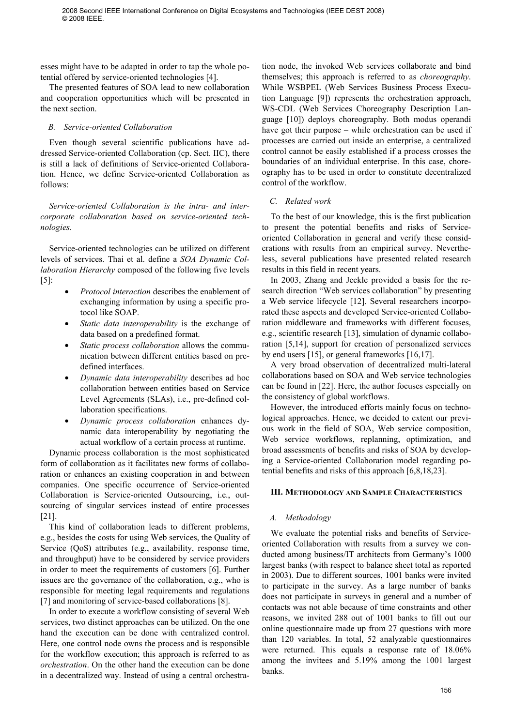esses might have to be adapted in order to tap the whole potential offered by service-oriented technologies [4].

The presented features of SOA lead to new collaboration and cooperation opportunities which will be presented in the next section.

# *B. Service-oriented Collaboration*

Even though several scientific publications have addressed Service-oriented Collaboration (cp. Sect. IIC), there is still a lack of definitions of Service-oriented Collaboration. Hence, we define Service-oriented Collaboration as follows:

*Service-oriented Collaboration is the intra- and intercorporate collaboration based on service-oriented technologies.* 

Service-oriented technologies can be utilized on different levels of services. Thai et al. define a *SOA Dynamic Collaboration Hierarchy* composed of the following five levels  $[5]$ :

- *Protocol interaction* describes the enablement of exchanging information by using a specific protocol like SOAP.
- *Static data interoperability* is the exchange of data based on a predefined format.
- *Static process collaboration* allows the communication between different entities based on predefined interfaces.
- *Dynamic data interoperability* describes ad hoc collaboration between entities based on Service Level Agreements (SLAs), i.e., pre-defined collaboration specifications.
- *Dynamic process collaboration* enhances dynamic data interoperability by negotiating the actual workflow of a certain process at runtime.

Dynamic process collaboration is the most sophisticated form of collaboration as it facilitates new forms of collaboration or enhances an existing cooperation in and between companies. One specific occurrence of Service-oriented Collaboration is Service-oriented Outsourcing, i.e., outsourcing of singular services instead of entire processes [21].

This kind of collaboration leads to different problems, e.g., besides the costs for using Web services, the Quality of Service (QoS) attributes (e.g., availability, response time, and throughput) have to be considered by service providers in order to meet the requirements of customers [6]. Further issues are the governance of the collaboration, e.g., who is responsible for meeting legal requirements and regulations [7] and monitoring of service-based collaborations [8].

In order to execute a workflow consisting of several Web services, two distinct approaches can be utilized. On the one hand the execution can be done with centralized control. Here, one control node owns the process and is responsible for the workflow execution; this approach is referred to as *orchestration*. On the other hand the execution can be done in a decentralized way. Instead of using a central orchestration node, the invoked Web services collaborate and bind themselves; this approach is referred to as *choreography*. While WSBPEL (Web Services Business Process Execution Language [9]) represents the orchestration approach, WS-CDL (Web Services Choreography Description Language [10]) deploys choreography. Both modus operandi have got their purpose – while orchestration can be used if processes are carried out inside an enterprise, a centralized control cannot be easily established if a process crosses the boundaries of an individual enterprise. In this case, choreography has to be used in order to constitute decentralized control of the workflow.

## *C. Related work*

To the best of our knowledge, this is the first publication to present the potential benefits and risks of Serviceoriented Collaboration in general and verify these considerations with results from an empirical survey. Nevertheless, several publications have presented related research results in this field in recent years.

In 2003, Zhang and Jeckle provided a basis for the research direction "Web services collaboration" by presenting a Web service lifecycle [12]. Several researchers incorporated these aspects and developed Service-oriented Collaboration middleware and frameworks with different focuses, e.g., scientific research [13], simulation of dynamic collaboration [5,14], support for creation of personalized services by end users [15], or general frameworks [16,17].

A very broad observation of decentralized multi-lateral collaborations based on SOA and Web service technologies can be found in [22]. Here, the author focuses especially on the consistency of global workflows.

However, the introduced efforts mainly focus on technological approaches. Hence, we decided to extent our previous work in the field of SOA, Web service composition, Web service workflows, replanning, optimization, and broad assessments of benefits and risks of SOA by developing a Service-oriented Collaboration model regarding potential benefits and risks of this approach [6,8,18,23].

## **III. METHODOLOGY AND SAMPLE CHARACTERISTICS**

## *A. Methodology*

We evaluate the potential risks and benefits of Serviceoriented Collaboration with results from a survey we conducted among business/IT architects from Germany's 1000 largest banks (with respect to balance sheet total as reported in 2003). Due to different sources, 1001 banks were invited to participate in the survey. As a large number of banks does not participate in surveys in general and a number of contacts was not able because of time constraints and other reasons, we invited 288 out of 1001 banks to fill out our online questionnaire made up from 27 questions with more than 120 variables. In total, 52 analyzable questionnaires were returned. This equals a response rate of 18.06% among the invitees and 5.19% among the 1001 largest banks.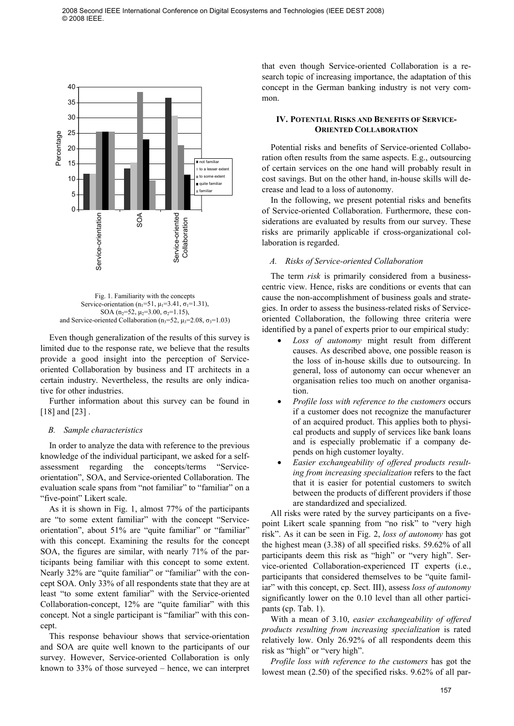

and Service-oriented Collaboration ( $n_3$ =52,  $\mu_3$ =2.08,  $\sigma_3$ =1.03)

Even though generalization of the results of this survey is limited due to the response rate, we believe that the results provide a good insight into the perception of Serviceoriented Collaboration by business and IT architects in a certain industry. Nevertheless, the results are only indicative for other industries.

Further information about this survey can be found in [18] and [23].

## *B. Sample characteristics*

In order to analyze the data with reference to the previous knowledge of the individual participant, we asked for a selfassessment regarding the concepts/terms "Serviceorientation", SOA, and Service-oriented Collaboration. The evaluation scale spans from "not familiar" to "familiar" on a "five-point" Likert scale.

As it is shown in Fig. 1, almost 77% of the participants are "to some extent familiar" with the concept "Serviceorientation", about 51% are "quite familiar" or "familiar" with this concept. Examining the results for the concept SOA, the figures are similar, with nearly 71% of the participants being familiar with this concept to some extent. Nearly 32% are "quite familiar" or "familiar" with the concept SOA. Only 33% of all respondents state that they are at least "to some extent familiar" with the Service-oriented Collaboration-concept, 12% are "quite familiar" with this concept. Not a single participant is "familiar" with this concept.

This response behaviour shows that service-orientation and SOA are quite well known to the participants of our survey. However, Service-oriented Collaboration is only known to 33% of those surveyed – hence, we can interpret that even though Service-oriented Collaboration is a research topic of increasing importance, the adaptation of this concept in the German banking industry is not very common.

# **IV. POTENTIAL RISKS AND BENEFITS OF SERVICE-ORIENTED COLLABORATION**

Potential risks and benefits of Service-oriented Collaboration often results from the same aspects. E.g., outsourcing of certain services on the one hand will probably result in cost savings. But on the other hand, in-house skills will decrease and lead to a loss of autonomy.

In the following, we present potential risks and benefits of Service-oriented Collaboration. Furthermore, these considerations are evaluated by results from our survey. These risks are primarily applicable if cross-organizational collaboration is regarded.

## *A. Risks of Service-oriented Collaboration*

The term *risk* is primarily considered from a businesscentric view. Hence, risks are conditions or events that can cause the non-accomplishment of business goals and strategies. In order to assess the business-related risks of Serviceoriented Collaboration, the following three criteria were identified by a panel of experts prior to our empirical study:

- Loss of autonomy might result from different causes. As described above, one possible reason is the loss of in-house skills due to outsourcing. In general, loss of autonomy can occur whenever an organisation relies too much on another organisation.
- *Profile loss with reference to the customers* occurs if a customer does not recognize the manufacturer of an acquired product. This applies both to physical products and supply of services like bank loans and is especially problematic if a company depends on high customer loyalty.
- *Easier exchangeability of offered products resulting from increasing specialization* refers to the fact that it is easier for potential customers to switch between the products of different providers if those are standardized and specialized.

All risks were rated by the survey participants on a fivepoint Likert scale spanning from "no risk" to "very high risk". As it can be seen in Fig. 2, *loss of autonomy* has got the highest mean (3.38) of all specified risks. 59.62% of all participants deem this risk as "high" or "very high". Service-oriented Collaboration-experienced IT experts (i.e., participants that considered themselves to be "quite familiar" with this concept, cp. Sect. III), assess *loss of autonomy* significantly lower on the 0.10 level than all other participants (cp. Tab. 1).

With a mean of 3.10, *easier exchangeability of offered products resulting from increasing specialization* is rated relatively low. Only 26.92% of all respondents deem this risk as "high" or "very high".

*Profile loss with reference to the customers* has got the lowest mean (2.50) of the specified risks. 9.62% of all par-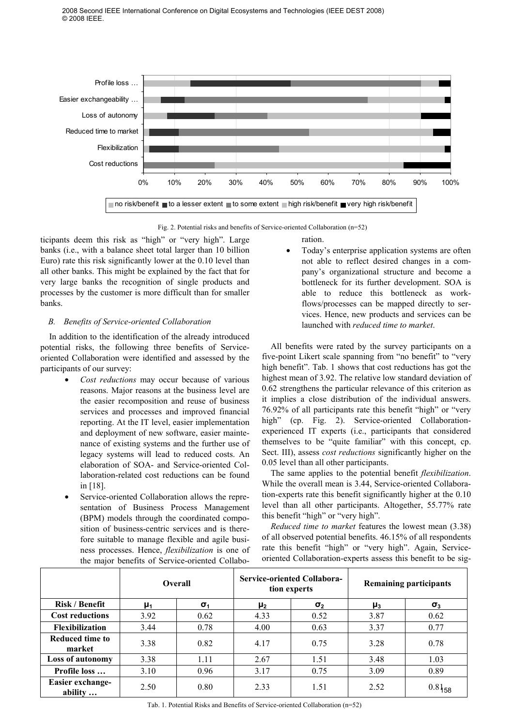

Fig. 2. Potential risks and benefits of Service-oriented Collaboration (n=52)

ticipants deem this risk as "high" or "very high". Large banks (i.e., with a balance sheet total larger than 10 billion Euro) rate this risk significantly lower at the 0.10 level than all other banks. This might be explained by the fact that for very large banks the recognition of single products and processes by the customer is more difficult than for smaller banks.

# *B. Benefits of Service-oriented Collaboration*

In addition to the identification of the already introduced potential risks, the following three benefits of Serviceoriented Collaboration were identified and assessed by the participants of our survey:

- *Cost reductions* may occur because of various reasons. Major reasons at the business level are the easier recomposition and reuse of business services and processes and improved financial reporting. At the IT level, easier implementation and deployment of new software, easier maintenance of existing systems and the further use of legacy systems will lead to reduced costs. An elaboration of SOA- and Service-oriented Collaboration-related cost reductions can be found in [18].
- Service-oriented Collaboration allows the representation of Business Process Management (BPM) models through the coordinated composition of business-centric services and is therefore suitable to manage flexible and agile business processes. Hence, *flexibilization* is one of the major benefits of Service-oriented Collabo-

ration.

Today's enterprise application systems are often not able to reflect desired changes in a company's organizational structure and become a bottleneck for its further development. SOA is able to reduce this bottleneck as workflows/processes can be mapped directly to services. Hence, new products and services can be launched with *reduced time to market*.

All benefits were rated by the survey participants on a five-point Likert scale spanning from "no benefit" to "very high benefit". Tab. 1 shows that cost reductions has got the highest mean of 3.92. The relative low standard deviation of 0.62 strengthens the particular relevance of this criterion as it implies a close distribution of the individual answers. 76.92% of all participants rate this benefit "high" or "very high" (cp. Fig. 2). Service-oriented Collaborationexperienced IT experts (i.e., participants that considered themselves to be "quite familiar" with this concept, cp. Sect. III), assess *cost reductions* significantly higher on the 0.05 level than all other participants.

The same applies to the potential benefit *flexibilization*. While the overall mean is 3.44, Service-oriented Collaboration-experts rate this benefit significantly higher at the 0.10 level than all other participants. Altogether, 55.77% rate this benefit "high" or "very high".

*Reduced time to market* features the lowest mean (3.38) of all observed potential benefits. 46.15% of all respondents rate this benefit "high" or "very high". Again, Serviceoriented Collaboration-experts assess this benefit to be sig-

|                             | <b>Overall</b> |              | <b>Service-oriented Collabora-</b><br>tion experts |              | <b>Remaining participants</b> |              |
|-----------------------------|----------------|--------------|----------------------------------------------------|--------------|-------------------------------|--------------|
| <b>Risk / Benefit</b>       | $\mu_1$        | $\sigma_{1}$ | $\mu_2$                                            | $\sigma_{2}$ | $\mu_3$                       | $\sigma_{3}$ |
| <b>Cost reductions</b>      | 3.92           | 0.62         | 4.33                                               | 0.52         | 3.87                          | 0.62         |
| <b>Flexibilization</b>      | 3.44           | 0.78         | 4.00                                               | 0.63         | 3.37                          | 0.77         |
| Reduced time to<br>market   | 3.38           | 0.82         | 4.17                                               | 0.75         | 3.28                          | 0.78         |
| Loss of autonomy            | 3.38           | 1.11         | 2.67                                               | 1.51         | 3.48                          | 1.03         |
| Profile loss                | 3.10           | 0.96         | 3.17                                               | 0.75         | 3.09                          | 0.89         |
| Easier exchange-<br>ability | 2.50           | 0.80         | 2.33                                               | 1.51         | 2.52                          | $0.81_{58}$  |

Tab. 1. Potential Risks and Benefits of Service-oriented Collaboration (n=52)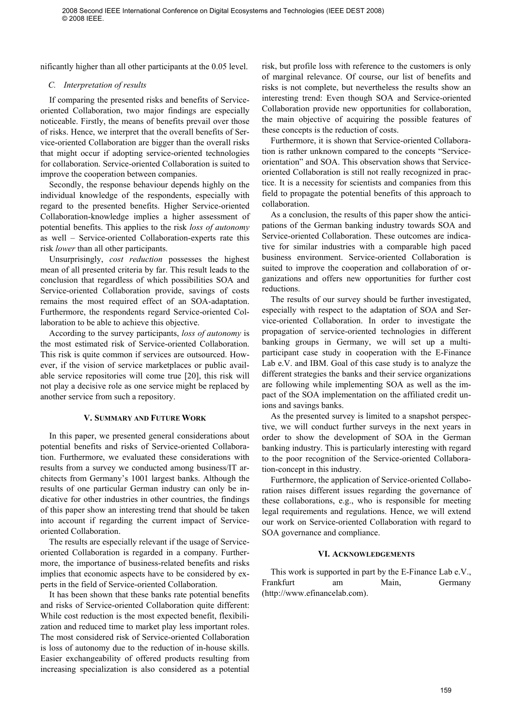nificantly higher than all other participants at the 0.05 level.

## *C. Interpretation of results*

If comparing the presented risks and benefits of Serviceoriented Collaboration, two major findings are especially noticeable. Firstly, the means of benefits prevail over those of risks. Hence, we interpret that the overall benefits of Service-oriented Collaboration are bigger than the overall risks that might occur if adopting service-oriented technologies for collaboration. Service-oriented Collaboration is suited to improve the cooperation between companies.

Secondly, the response behaviour depends highly on the individual knowledge of the respondents, especially with regard to the presented benefits. Higher Service-oriented Collaboration-knowledge implies a higher assessment of potential benefits. This applies to the risk *loss of autonomy* as well – Service-oriented Collaboration-experts rate this risk *lower* than all other participants.

Unsurprisingly, *cost reduction* possesses the highest mean of all presented criteria by far. This result leads to the conclusion that regardless of which possibilities SOA and Service-oriented Collaboration provide, savings of costs remains the most required effect of an SOA-adaptation. Furthermore, the respondents regard Service-oriented Collaboration to be able to achieve this objective.

According to the survey participants, *loss of autonomy* is the most estimated risk of Service-oriented Collaboration. This risk is quite common if services are outsourced. However, if the vision of service marketplaces or public available service repositories will come true [20], this risk will not play a decisive role as one service might be replaced by another service from such a repository.

#### **V. SUMMARY AND FUTURE WORK**

In this paper, we presented general considerations about potential benefits and risks of Service-oriented Collaboration. Furthermore, we evaluated these considerations with results from a survey we conducted among business/IT architects from Germany's 1001 largest banks. Although the results of one particular German industry can only be indicative for other industries in other countries, the findings of this paper show an interesting trend that should be taken into account if regarding the current impact of Serviceoriented Collaboration.

The results are especially relevant if the usage of Serviceoriented Collaboration is regarded in a company. Furthermore, the importance of business-related benefits and risks implies that economic aspects have to be considered by experts in the field of Service-oriented Collaboration.

It has been shown that these banks rate potential benefits and risks of Service-oriented Collaboration quite different: While cost reduction is the most expected benefit, flexibilization and reduced time to market play less important roles. The most considered risk of Service-oriented Collaboration is loss of autonomy due to the reduction of in-house skills. Easier exchangeability of offered products resulting from increasing specialization is also considered as a potential risk, but profile loss with reference to the customers is only of marginal relevance. Of course, our list of benefits and risks is not complete, but nevertheless the results show an interesting trend: Even though SOA and Service-oriented Collaboration provide new opportunities for collaboration, the main objective of acquiring the possible features of these concepts is the reduction of costs.

Furthermore, it is shown that Service-oriented Collaboration is rather unknown compared to the concepts "Serviceorientation" and SOA. This observation shows that Serviceoriented Collaboration is still not really recognized in practice. It is a necessity for scientists and companies from this field to propagate the potential benefits of this approach to collaboration.

As a conclusion, the results of this paper show the anticipations of the German banking industry towards SOA and Service-oriented Collaboration. These outcomes are indicative for similar industries with a comparable high paced business environment. Service-oriented Collaboration is suited to improve the cooperation and collaboration of organizations and offers new opportunities for further cost reductions.

The results of our survey should be further investigated, especially with respect to the adaptation of SOA and Service-oriented Collaboration. In order to investigate the propagation of service-oriented technologies in different banking groups in Germany, we will set up a multiparticipant case study in cooperation with the E-Finance Lab e.V. and IBM. Goal of this case study is to analyze the different strategies the banks and their service organizations are following while implementing SOA as well as the impact of the SOA implementation on the affiliated credit unions and savings banks.

As the presented survey is limited to a snapshot perspective, we will conduct further surveys in the next years in order to show the development of SOA in the German banking industry. This is particularly interesting with regard to the poor recognition of the Service-oriented Collaboration-concept in this industry.

Furthermore, the application of Service-oriented Collaboration raises different issues regarding the governance of these collaborations, e.g., who is responsible for meeting legal requirements and regulations. Hence, we will extend our work on Service-oriented Collaboration with regard to SOA governance and compliance.

## **VI. ACKNOWLEDGEMENTS**

This work is supported in part by the E-Finance Lab e.V., Frankfurt am Main, Germany (http://www.efinancelab.com).